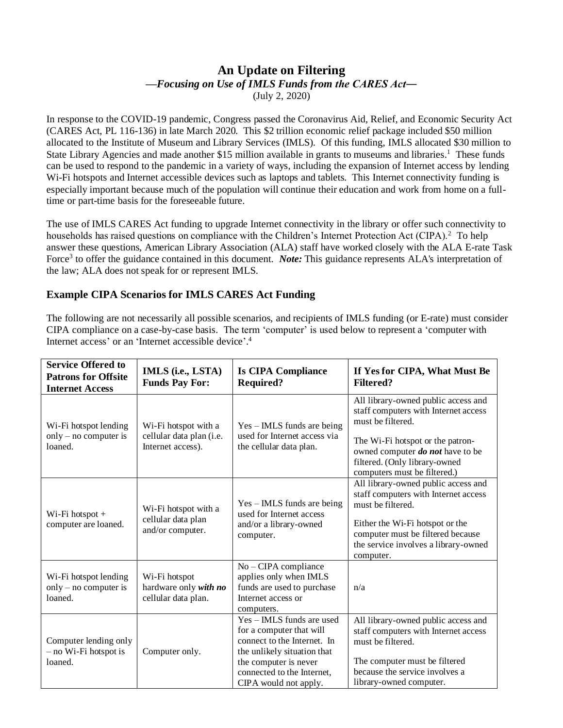## **An Update on Filtering** *—Focusing on Use of IMLS Funds from the CARES Act―* (July 2, 2020)

In response to the COVID-19 pandemic, Congress passed the Coronavirus Aid, Relief, and Economic Security Act (CARES Act, PL 116-136) in late March 2020. This \$2 trillion economic relief package included \$50 million allocated to the Institute of Museum and Library Services (IMLS). Of this funding, IMLS allocated \$30 million to State Library Agencies and made another \$15 million available in grants to museums and libraries.<sup>1</sup> These funds can be used to respond to the pandemic in a variety of ways, including the expansion of Internet access by lending Wi-Fi hotspots and Internet accessible devices such as laptops and tablets. This Internet connectivity funding is especially important because much of the population will continue their education and work from home on a fulltime or part-time basis for the foreseeable future.

The use of IMLS CARES Act funding to upgrade Internet connectivity in the library or offer such connectivity to households has raised questions on compliance with the Children's Internet Protection Act (CIPA).<sup>2</sup> To help answer these questions, American Library Association (ALA) staff have worked closely with the ALA E-rate Task Force<sup>3</sup> to offer the guidance contained in this document. *Note:* This guidance represents ALA's interpretation of the law; ALA does not speak for or represent IMLS.

## **Example CIPA Scenarios for IMLS CARES Act Funding**

The following are not necessarily all possible scenarios, and recipients of IMLS funding (or E-rate) must consider CIPA compliance on a case-by-case basis. The term 'computer' is used below to represent a 'computer with Internet access' or an 'Internet accessible device'. 4

| <b>Service Offered to</b><br><b>Patrons for Offsite</b><br><b>Internet Access</b> | IMLS (i.e., LSTA)<br><b>Funds Pay For:</b>                            | <b>Is CIPA Compliance</b><br><b>Required?</b>                                                                                                                                                       | If Yes for CIPA, What Must Be<br><b>Filtered?</b>                                                                                                                                                                                                |
|-----------------------------------------------------------------------------------|-----------------------------------------------------------------------|-----------------------------------------------------------------------------------------------------------------------------------------------------------------------------------------------------|--------------------------------------------------------------------------------------------------------------------------------------------------------------------------------------------------------------------------------------------------|
| Wi-Fi hotspot lending<br>only $-$ no computer is<br>loaned.                       | Wi-Fi hotspot with a<br>cellular data plan (i.e.<br>Internet access). | $Yes - IMLS$ funds are being<br>used for Internet access via<br>the cellular data plan.                                                                                                             | All library-owned public access and<br>staff computers with Internet access<br>must be filtered.<br>The Wi-Fi hotspot or the patron-<br>owned computer <i>do not</i> have to be<br>filtered. (Only library-owned<br>computers must be filtered.) |
| $Wi$ -Fi hotspot +<br>computer are loaned.                                        | Wi-Fi hotspot with a<br>cellular data plan<br>and/or computer.        | $Yes - IMLS$ funds are being<br>used for Internet access<br>and/or a library-owned<br>computer.                                                                                                     | All library-owned public access and<br>staff computers with Internet access<br>must be filtered.<br>Either the Wi-Fi hotspot or the<br>computer must be filtered because<br>the service involves a library-owned<br>computer.                    |
| Wi-Fi hotspot lending<br>only $-$ no computer is<br>loaned.                       | Wi-Fi hotspot<br>hardware only with no<br>cellular data plan.         | $No$ – CIPA compliance<br>applies only when IMLS<br>funds are used to purchase<br>Internet access or<br>computers.                                                                                  | n/a                                                                                                                                                                                                                                              |
| Computer lending only<br>$-$ no Wi-Fi hotspot is<br>loaned.                       | Computer only.                                                        | Yes - IMLS funds are used<br>for a computer that will<br>connect to the Internet. In<br>the unlikely situation that<br>the computer is never<br>connected to the Internet,<br>CIPA would not apply. | All library-owned public access and<br>staff computers with Internet access<br>must be filtered.<br>The computer must be filtered<br>because the service involves a<br>library-owned computer.                                                   |